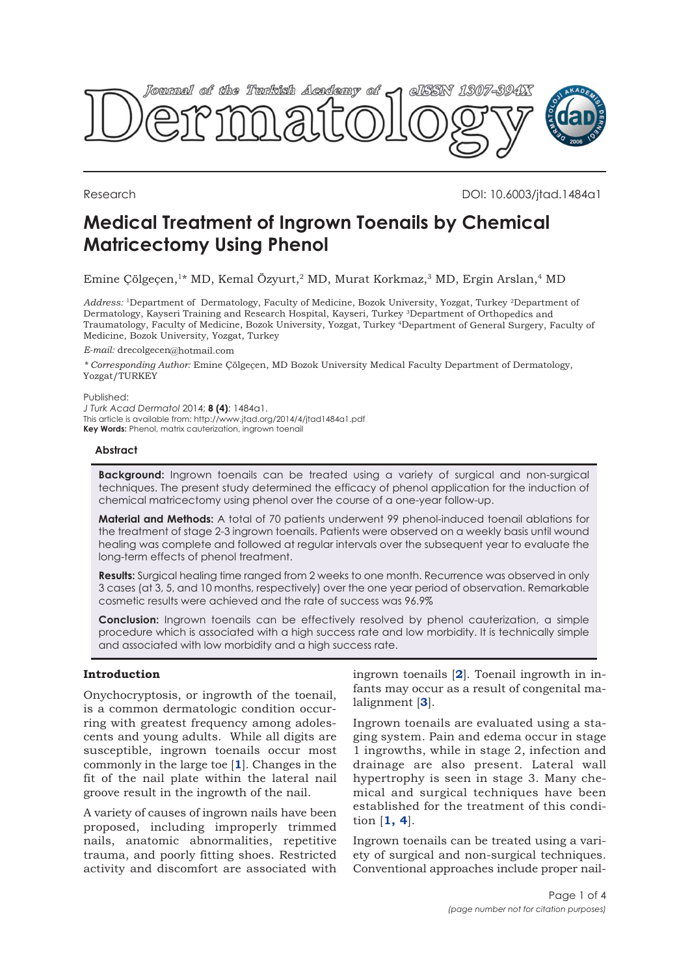

Research DOI: 10.6003/jtad.1484a1

# **Medical Treatment of Ingrown Toenails by Chemical Matricectomy Using Phenol**

Emine Çölgeçen,<sup>1\*</sup> MD, Kemal Özyurt,<sup>2</sup> MD, Murat Korkmaz,<sup>3</sup> MD, Ergin Arslan,<sup>4</sup> MD

*Address:* <sup>1</sup>Department of Dermatology, Faculty of Medicine, Bozok University, Yozgat, Turkey <sup>2</sup>Department of Dermatology, Kayseri Training and Research Hospital, Kayseri, Turkey <sup>3</sup>Department of Orthopedics and Traumatology, Faculty of Medicine, Bozok University, Yozgat, Turkey <sup>4</sup>Department of General Surgery, Faculty of Medicine, Bozok University, Yozgat, Turkey

*E-mail:* drecolgecen@hotmail.com

*\* Corresponding Author:* Emine Çölgeçen, MD Bozok University Medical Faculty Department of Dermatology, Yozgat/TURKEY

Published:

*J Turk Acad Dermatol* 2014; **8 (4)**: 1484a1. This article is available from: http://www.jtad.org/2014/4/jtad1484a1.pdf **Key Words:** Phenol, matrix cauterization, ingrown toenail

### **Abstract**

**Background:** Ingrown toenails can be treated using a variety of surgical and non-surgical techniques. The present study determined the efficacy of phenol application for the induction of chemical matricectomy using phenol over the course of a one-year follow-up.

**Material and Methods:** A total of 70 patients underwent 99 phenol-induced toenail ablations for the treatment of stage 2-3 ingrown toenails. Patients were observed on a weekly basis until wound healing was complete and followed at regular intervals over the subsequent year to evaluate the long-term effects of phenol treatment.

**Results:** Surgical healing time ranged from 2 weeks to one month. Recurrence was observed in only 3 cases (at 3, 5, and 10 months, respectively) over the one year period of observation. Remarkable cosmetic results were achieved and the rate of success was 96.9%

**Conclusion:** Ingrown toenails can be effectively resolved by phenol cauterization, a simple procedure which is associated with a high success rate and low morbidity. It is technically simple and associated with low morbidity and a high success rate.

# **Introduction**

Onychocryptosis, or ingrowth of the toenail, is a common dermatologic condition occurring with greatest frequency among adolescents and young adults. While all digits are susceptible, ingrown toenails occur most commonly in the large toe [**[1](#page-3-0)**]. Changes in the fit of the nail plate within the lateral nail groove result in the ingrowth of the nail.

A variety of causes of ingrown nails have been proposed, including improperly trimmed nails, anatomic abnormalities, repetitive trauma, and poorly fitting shoes. Restricted activity and discomfort are associated with ingrown toenails [**[2](#page-3-0)**]. Toenail ingrowth in infants may occur as a result of congenital malalignment [**[3](#page-3-0)**].

Ingrown toenails are evaluated using a staging system. Pain and edema occur in stage 1 ingrowths, while in stage 2, infection and drainage are also present. Lateral wall hypertrophy is seen in stage 3. Many chemical and surgical techniques have been established for the treatment of this condition [**[1,](#page-3-0) [4](#page-3-0)**].

Ingrown toenails can be treated using a variety of surgical and non-surgical techniques. Conventional approaches include proper nail-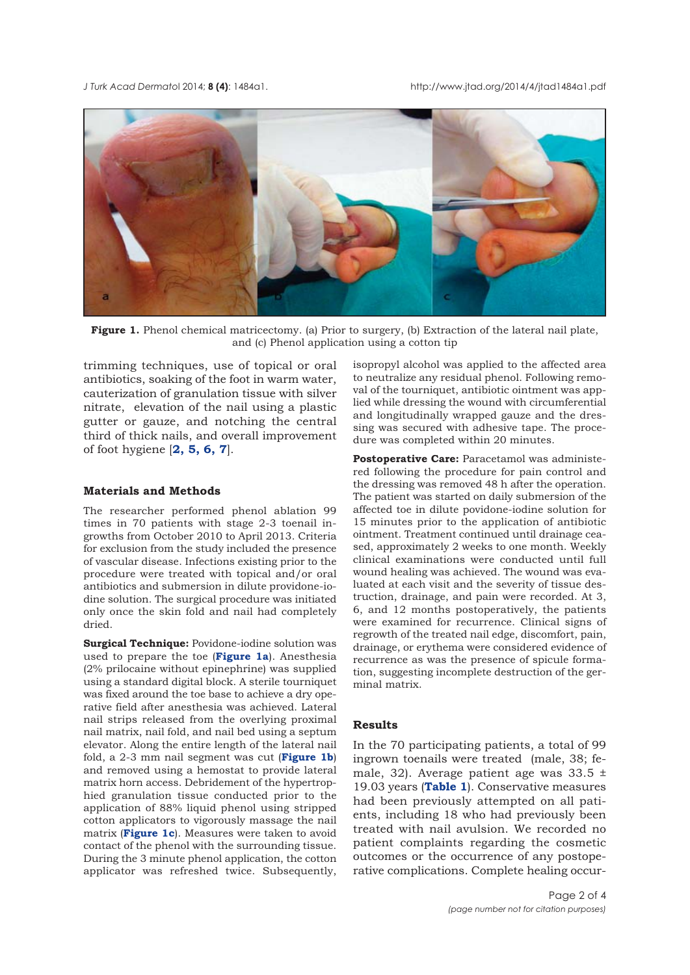

Figure 1. Phenol chemical matricectomy. (a) Prior to surgery, (b) Extraction of the lateral nail plate, and (c) Phenol application using a cotton tip

trimming techniques, use of topical or oral antibiotics, soaking of the foot in warm water, cauterization of granulation tissue with silver nitrate, elevation of the nail using a plastic gutter or gauze, and notching the central third of thick nails, and overall improvement of foot hygiene [**[2, 5,](#page-3-0) [6](#page-3-0), [7](#page-3-0)**].

# **Materials and Methods**

The researcher performed phenol ablation 99 times in 70 patients with stage 2-3 toenail ingrowths from October 2010 to April 2013. Criteria for exclusion from the study included the presence of vascular disease. Infections existing prior to the procedure were treated with topical and/or oral antibiotics and submersion in dilute providone-iodine solution. The surgical procedure was initiated only once the skin fold and nail had completely dried.

**Surgical Technique:** Povidone-iodine solution was used to prepare the toe (**Figure 1a**). Anesthesia (2% prilocaine without epinephrine) was supplied using a standard digital block. A sterile tourniquet was fixed around the toe base to achieve a dry operative field after anesthesia was achieved. Lateral nail strips released from the overlying proximal nail matrix, nail fold, and nail bed using a septum elevator. Along the entire length of the lateral nail fold, a 2-3 mm nail segment was cut (**Figure 1b**) and removed using a hemostat to provide lateral matrix horn access. Debridement of the hypertrophied granulation tissue conducted prior to the application of 88% liquid phenol using stripped cotton applicators to vigorously massage the nail matrix (**Figure 1c**). Measures were taken to avoid contact of the phenol with the surrounding tissue. During the 3 minute phenol application, the cotton applicator was refreshed twice. Subsequently,

isopropyl alcohol was applied to the affected area to neutralize any residual phenol. Following removal of the tourniquet, antibiotic ointment was applied while dressing the wound with circumferential and longitudinally wrapped gauze and the dressing was secured with adhesive tape. The procedure was completed within 20 minutes.

**Postoperative Care:** Paracetamol was administered following the procedure for pain control and the dressing was removed 48 h after the operation. The patient was started on daily submersion of the affected toe in dilute povidone-iodine solution for 15 minutes prior to the application of antibiotic ointment. Treatment continued until drainage ceased, approximately 2 weeks to one month. Weekly clinical examinations were conducted until full wound healing was achieved. The wound was evaluated at each visit and the severity of tissue destruction, drainage, and pain were recorded. At 3, 6, and 12 months postoperatively, the patients were examined for recurrence. Clinical signs of regrowth of the treated nail edge, discomfort, pain, drainage, or erythema were considered evidence of recurrence as was the presence of spicule formation, suggesting incomplete destruction of the germinal matrix.

#### **Results**

In the 70 participating patients, a total of 99 ingrown toenails were treated (male, 38; female, 32). Average patient age was  $33.5 \pm$ 19.03 years (**[Table 1](#page-2-0)**). Conservative measures had been previously attempted on all patients, including 18 who had previously been treated with nail avulsion. We recorded no patient complaints regarding the cosmetic outcomes or the occurrence of any postoperative complications. Complete healing occur-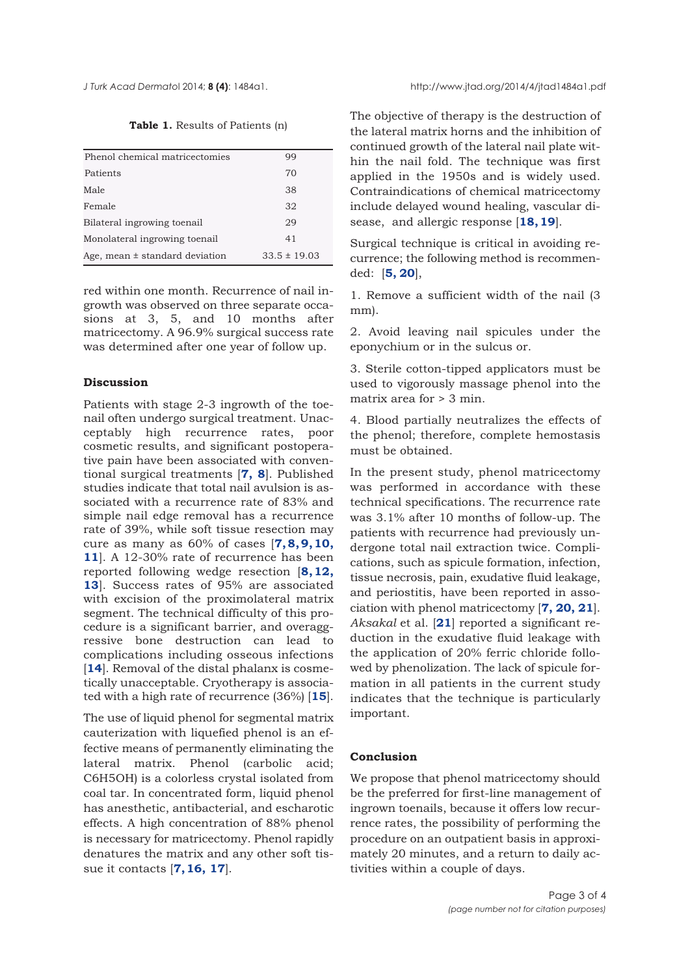| Table 1. Results of Patients (n) |  |  |
|----------------------------------|--|--|
|----------------------------------|--|--|

<span id="page-2-0"></span>

| Phenol chemical matricectomies     | 99               |
|------------------------------------|------------------|
| Patients                           | 70               |
| Male                               | 38               |
| Female                             | 32               |
| Bilateral ingrowing toenail        | 29               |
| Monolateral ingrowing toenail      | 41               |
| Age, mean $\pm$ standard deviation | $33.5 \pm 19.03$ |

red within one month. Recurrence of nail ingrowth was observed on three separate occasions at 3, 5, and 10 months after matricectomy. A 96.9% surgical success rate was determined after one year of follow up.

## **Discussion**

Patients with stage 2-3 ingrowth of the toenail often undergo surgical treatment. Unacceptably high recurrence rates, poor cosmetic results, and significant postoperative pain have been associated with conventional surgical treatments [**[7,](#page-3-0) [8](#page-3-0)**]. Published studies indicate that total nail avulsion is associated with a recurrence rate of 83% and simple nail edge removal has a recurrence rate of 39%, while soft tissue resection may cure as many as 60% of cases [**[7](#page-3-0), [8](#page-3-0), [9](#page-3-0), [10,](#page-3-0) [11](#page-3-0)**]. A 12-30% rate of recurrence has been reported following wedge resection [**[8](#page-3-0), [12,](#page-3-0) [13](#page-3-0)**]. Success rates of 95% are associated with excision of the proximolateral matrix segment. The technical difficulty of this procedure is a significant barrier, and overaggressive bone destruction can lead to complications including osseous infections [[14](#page-3-0)]. Removal of the distal phalanx is cosmetically unacceptable. Cryotherapy is associated with a high rate of recurrence (36%) [**[15](#page-3-0)**].

The use of liquid phenol for segmental matrix cauterization with liquefied phenol is an effective means of permanently eliminating the lateral matrix. Phenol (carbolic acid; C6H5OH) is a colorless crystal isolated from coal tar. In concentrated form, liquid phenol has anesthetic, antibacterial, and escharotic effects. A high concentration of 88% phenol is necessary for matricectomy. Phenol rapidly denatures the matrix and any other soft tissue it contacts [**[7](#page-3-0), [16](#page-3-0), [17](#page-3-0)**].

The objective of therapy is the destruction of the lateral matrix horns and the inhibition of continued growth of the lateral nail plate within the nail fold. The technique was first applied in the 1950s and is widely used. Contraindications of chemical matricectomy include delayed wound healing, vascular disease, and allergic response [**[18](#page-3-0), [19](#page-3-0)**].

Surgical technique is critical in avoiding recurrence; the following method is recommended: [**[5](#page-3-0), [20](#page-3-0)**],

1. Remove a sufficient width of the nail (3 mm).

2. Avoid leaving nail spicules under the eponychium or in the sulcus or.

3. Sterile cotton-tipped applicators must be used to vigorously massage phenol into the matrix area for > 3 min.

4. Blood partially neutralizes the effects of the phenol; therefore, complete hemostasis must be obtained.

In the present study, phenol matricectomy was performed in accordance with these technical specifications. The recurrence rate was 3.1% after 10 months of follow-up. The patients with recurrence had previously undergone total nail extraction twice. Complications, such as spicule formation, infection, tissue necrosis, pain, exudative fluid leakage, and periostitis, have been reported in association with phenol matricectomy [**[7, 20, 21](#page-3-0)**]. *Aksakal* et al. [**[21](#page-3-0)**] reported a significant reduction in the exudative fluid leakage with the application of 20% ferric chloride followed by phenolization. The lack of spicule formation in all patients in the current study indicates that the technique is particularly important.

#### **Conclusion**

We propose that phenol matricectomy should be the preferred for first-line management of ingrown toenails, because it offers low recurrence rates, the possibility of performing the procedure on an outpatient basis in approximately 20 minutes, and a return to daily activities within a couple of days.